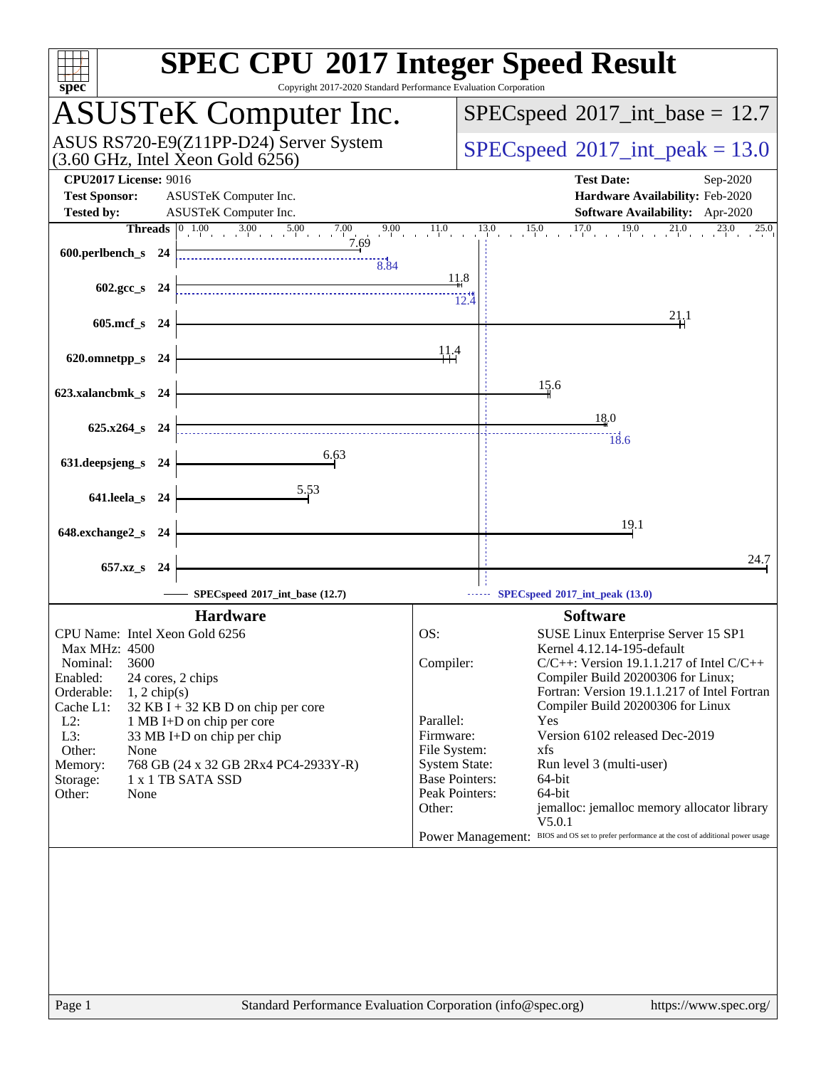| spec <sup>®</sup>                                                                                                                                                                         | <b>SPEC CPU®2017 Integer Speed Result</b><br>Copyright 2017-2020 Standard Performance Evaluation Corporation                                                                                                                                                      |
|-------------------------------------------------------------------------------------------------------------------------------------------------------------------------------------------|-------------------------------------------------------------------------------------------------------------------------------------------------------------------------------------------------------------------------------------------------------------------|
| <b>ASUSTeK Computer Inc.</b>                                                                                                                                                              | $SPEC speed^{\circ}2017\_int\_base = 12.7$                                                                                                                                                                                                                        |
| ASUS RS720-E9(Z11PP-D24) Server System<br>$(3.60 \text{ GHz}, \text{Intel Xeon Gold } 6256)$                                                                                              | $SPEC speed^{\circ}2017\_int\_peak = 13.0$                                                                                                                                                                                                                        |
| <b>CPU2017 License: 9016</b><br><b>Test Sponsor:</b><br>ASUSTeK Computer Inc.                                                                                                             | <b>Test Date:</b><br>Sep-2020<br>Hardware Availability: Feb-2020                                                                                                                                                                                                  |
| <b>Tested by:</b><br>ASUSTeK Computer Inc.                                                                                                                                                | Software Availability: Apr-2020                                                                                                                                                                                                                                   |
| $\begin{bmatrix} 0 & 1.00 & 3.00 & 5.00 \end{bmatrix}$ 7.0<br><b>Threads</b><br>7.00<br>7.69                                                                                              | $15.0$ $17.0$ $19.0$ $21.0$ $23.0$ $25$<br>$9.00$ $11.0$<br>13.0<br>25.0                                                                                                                                                                                          |
| 600.perlbench_s 24<br>8.84                                                                                                                                                                | 11.8                                                                                                                                                                                                                                                              |
| $602.\text{gcc}\,s$ 24                                                                                                                                                                    | 12.4<br>21,1                                                                                                                                                                                                                                                      |
| 605.mcf_s 24                                                                                                                                                                              |                                                                                                                                                                                                                                                                   |
| 620.omnetpp_s 24                                                                                                                                                                          | 11.4                                                                                                                                                                                                                                                              |
| 623.xalancbmk_s 24                                                                                                                                                                        | 15.6                                                                                                                                                                                                                                                              |
| $625.x264$ s 24                                                                                                                                                                           | 18.0<br>18.6                                                                                                                                                                                                                                                      |
| 6.63<br>631.deepsjeng_s 24                                                                                                                                                                |                                                                                                                                                                                                                                                                   |
| 5.53<br>641.leela_s 24                                                                                                                                                                    |                                                                                                                                                                                                                                                                   |
| 648.exchange2_s 24                                                                                                                                                                        | 19.1                                                                                                                                                                                                                                                              |
| 657.xz_s 24                                                                                                                                                                               | 24.7                                                                                                                                                                                                                                                              |
| SPECspeed®2017_int_base (12.7)                                                                                                                                                            | SPECspeed®2017_int_peak (13.0)                                                                                                                                                                                                                                    |
| <b>Hardware</b>                                                                                                                                                                           | <b>Software</b>                                                                                                                                                                                                                                                   |
| CPU Name: Intel Xeon Gold 6256<br>Max MHz: 4500<br>3600<br>Nominal:<br>Enabled:<br>24 cores, 2 chips<br>Orderable:<br>$1, 2$ chip(s)<br>Cache L1:<br>$32$ KB I + 32 KB D on chip per core | OS:<br>SUSE Linux Enterprise Server 15 SP1<br>Kernel 4.12.14-195-default<br>$C/C++$ : Version 19.1.1.217 of Intel $C/C++$<br>Compiler:<br>Compiler Build 20200306 for Linux;<br>Fortran: Version 19.1.1.217 of Intel Fortran<br>Compiler Build 20200306 for Linux |
| $L2$ :<br>1 MB I+D on chip per core<br>L3:<br>33 MB I+D on chip per chip<br>Other:<br>None                                                                                                | Parallel:<br>Yes<br>Version 6102 released Dec-2019<br>Firmware:<br>File System:<br>xfs                                                                                                                                                                            |
| 768 GB (24 x 32 GB 2Rx4 PC4-2933Y-R)<br>Memory:<br>1 x 1 TB SATA SSD<br>Storage:<br>Other:<br>None                                                                                        | <b>System State:</b><br>Run level 3 (multi-user)<br><b>Base Pointers:</b><br>64-bit<br>Peak Pointers:<br>64-bit                                                                                                                                                   |
|                                                                                                                                                                                           | Other:<br>jemalloc: jemalloc memory allocator library<br>V5.0.1<br>BIOS and OS set to prefer performance at the cost of additional power usage<br><b>Power Management:</b>                                                                                        |
|                                                                                                                                                                                           |                                                                                                                                                                                                                                                                   |
| Page 1                                                                                                                                                                                    | Standard Performance Evaluation Corporation (info@spec.org)<br>https://www.spec.org/                                                                                                                                                                              |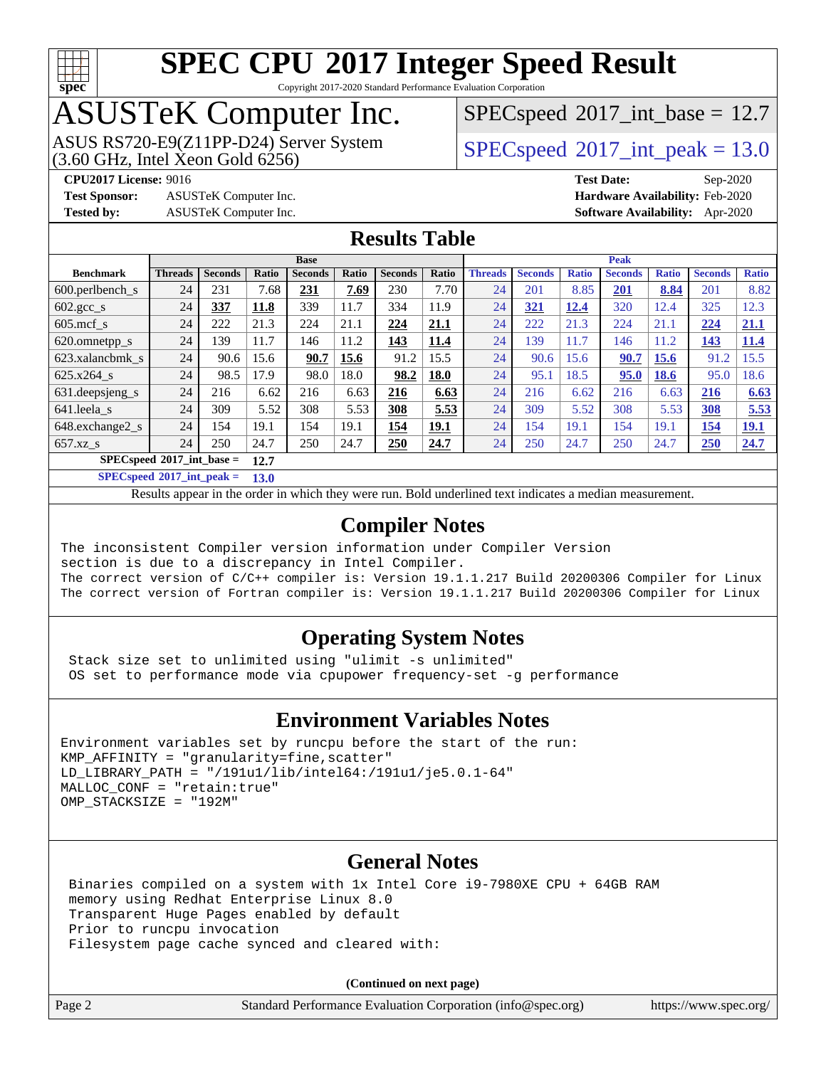

Copyright 2017-2020 Standard Performance Evaluation Corporation

### ASUSTeK Computer Inc.

 $SPECspeed^{\circ}2017\_int\_base = 12.7$  $SPECspeed^{\circ}2017\_int\_base = 12.7$ 

ASUS RS720-E9(Z11PP-D24) Server System  $(3.60 \text{ GHz}, \text{ Intel Xeon Gold } 6256)$   $\big| \text{ SPECspeed}^{\circledR} 2017 \text{__int\_peak} = 13.0$  $\big| \text{ SPECspeed}^{\circledR} 2017 \text{__int\_peak} = 13.0$  $\big| \text{ SPECspeed}^{\circledR} 2017 \text{__int\_peak} = 13.0$ 

**[Test Sponsor:](http://www.spec.org/auto/cpu2017/Docs/result-fields.html#TestSponsor)** ASUSTeK Computer Inc. **[Hardware Availability:](http://www.spec.org/auto/cpu2017/Docs/result-fields.html#HardwareAvailability)** Feb-2020

**[CPU2017 License:](http://www.spec.org/auto/cpu2017/Docs/result-fields.html#CPU2017License)** 9016 **[Test Date:](http://www.spec.org/auto/cpu2017/Docs/result-fields.html#TestDate)** Sep-2020 **[Tested by:](http://www.spec.org/auto/cpu2017/Docs/result-fields.html#Testedby)** ASUSTeK Computer Inc. **[Software Availability:](http://www.spec.org/auto/cpu2017/Docs/result-fields.html#SoftwareAvailability)** Apr-2020

#### **[Results Table](http://www.spec.org/auto/cpu2017/Docs/result-fields.html#ResultsTable)**

|                                     | <b>Base</b>    |                |       |                |       | <b>Peak</b>    |       |                |                |              |                |              |                |              |
|-------------------------------------|----------------|----------------|-------|----------------|-------|----------------|-------|----------------|----------------|--------------|----------------|--------------|----------------|--------------|
| <b>Benchmark</b>                    | <b>Threads</b> | <b>Seconds</b> | Ratio | <b>Seconds</b> | Ratio | <b>Seconds</b> | Ratio | <b>Threads</b> | <b>Seconds</b> | <b>Ratio</b> | <b>Seconds</b> | <b>Ratio</b> | <b>Seconds</b> | <b>Ratio</b> |
| $600.$ perlbench $\mathsf{S}$       | 24             | 231            | 7.68  | 231            | 7.69  | 230            | 7.70  | 24             | 201            | 8.85         | 201            | 8.84         | 201            | 8.82         |
| $602 \text{.} \text{gcc}\text{.}$ s | 24             | 337            | 11.8  | 339            | 11.7  | 334            | 11.9  | 24             | 321            | 12.4         | 320            | 12.4         | 325            | 12.3         |
| $605$ .mcf s                        | 24             | 222            | 21.3  | 224            | 21.1  | 224            | 21.1  | 24             | 222            | 21.3         | 224            | 21.1         | 224            | 21.1         |
| 620.omnetpp_s                       | 24             | 139            | 11.7  | 146            | 11.2  | 143            | 11.4  | 24             | 139            | 11.7         | 146            | 11.2         | 143            | 11.4         |
| 623.xalancbmk s                     | 24             | 90.6           | 15.6  | 90.7           | 15.6  | 91.2           | 15.5  | 24             | 90.6           | 15.6         | 90.7           | 15.6         | 91.2           | 15.5         |
| 625.x264 s                          | 24             | 98.5           | 17.9  | 98.0           | 18.0  | 98.2           | 18.0  | 24             | 95.1           | 18.5         | 95.0           | <b>18.6</b>  | 95.0           | 18.6         |
| 631. deepsjeng_s                    | 24             | 216            | 6.62  | 216            | 6.63  | 216            | 6.63  | 24             | 216            | 6.62         | 216            | 6.63         | 216            | 6.63         |
| 641.leela s                         | 24             | 309            | 5.52  | 308            | 5.53  | 308            | 5.53  | 24             | 309            | 5.52         | 308            | 5.53         | <b>308</b>     | 5.53         |
| 648.exchange2_s                     | 24             | 154            | 19.1  | 154            | 19.1  | 154            | 19.1  | 24             | 154            | 19.1         | 154            | 19.1         | 154            | <u>19.1</u>  |
| $657.xz$ <sub>_S</sub>              | 24             | 250            | 24.7  | 250            | 24.7  | 250            | 24.7  | 24             | 250            | 24.7         | 250            | 24.7         | 250            | 24.7         |
| $SPECspeed*2017$ int base =<br>12.7 |                |                |       |                |       |                |       |                |                |              |                |              |                |              |

**[SPECspeed](http://www.spec.org/auto/cpu2017/Docs/result-fields.html#SPECspeed2017intpeak)[2017\\_int\\_peak =](http://www.spec.org/auto/cpu2017/Docs/result-fields.html#SPECspeed2017intpeak) 13.0**

Results appear in the [order in which they were run.](http://www.spec.org/auto/cpu2017/Docs/result-fields.html#RunOrder) Bold underlined text [indicates a median measurement](http://www.spec.org/auto/cpu2017/Docs/result-fields.html#Median).

#### **[Compiler Notes](http://www.spec.org/auto/cpu2017/Docs/result-fields.html#CompilerNotes)**

The inconsistent Compiler version information under Compiler Version section is due to a discrepancy in Intel Compiler. The correct version of C/C++ compiler is: Version 19.1.1.217 Build 20200306 Compiler for Linux The correct version of Fortran compiler is: Version 19.1.1.217 Build 20200306 Compiler for Linux

#### **[Operating System Notes](http://www.spec.org/auto/cpu2017/Docs/result-fields.html#OperatingSystemNotes)**

 Stack size set to unlimited using "ulimit -s unlimited" OS set to performance mode via cpupower frequency-set -g performance

#### **[Environment Variables Notes](http://www.spec.org/auto/cpu2017/Docs/result-fields.html#EnvironmentVariablesNotes)**

```
Environment variables set by runcpu before the start of the run:
KMP AFFINITY = "granularity=fine, scatter"
LD_LIBRARY_PATH = "/191u1/lib/intel64:/191u1/je5.0.1-64"
MALLOC_CONF = "retain:true"
OMP_STACKSIZE = "192M"
```
#### **[General Notes](http://www.spec.org/auto/cpu2017/Docs/result-fields.html#GeneralNotes)**

 Binaries compiled on a system with 1x Intel Core i9-7980XE CPU + 64GB RAM memory using Redhat Enterprise Linux 8.0 Transparent Huge Pages enabled by default Prior to runcpu invocation Filesystem page cache synced and cleared with:

**(Continued on next page)**

| age |  |  |  |
|-----|--|--|--|
|-----|--|--|--|

Page 2 Standard Performance Evaluation Corporation [\(info@spec.org\)](mailto:info@spec.org) <https://www.spec.org/>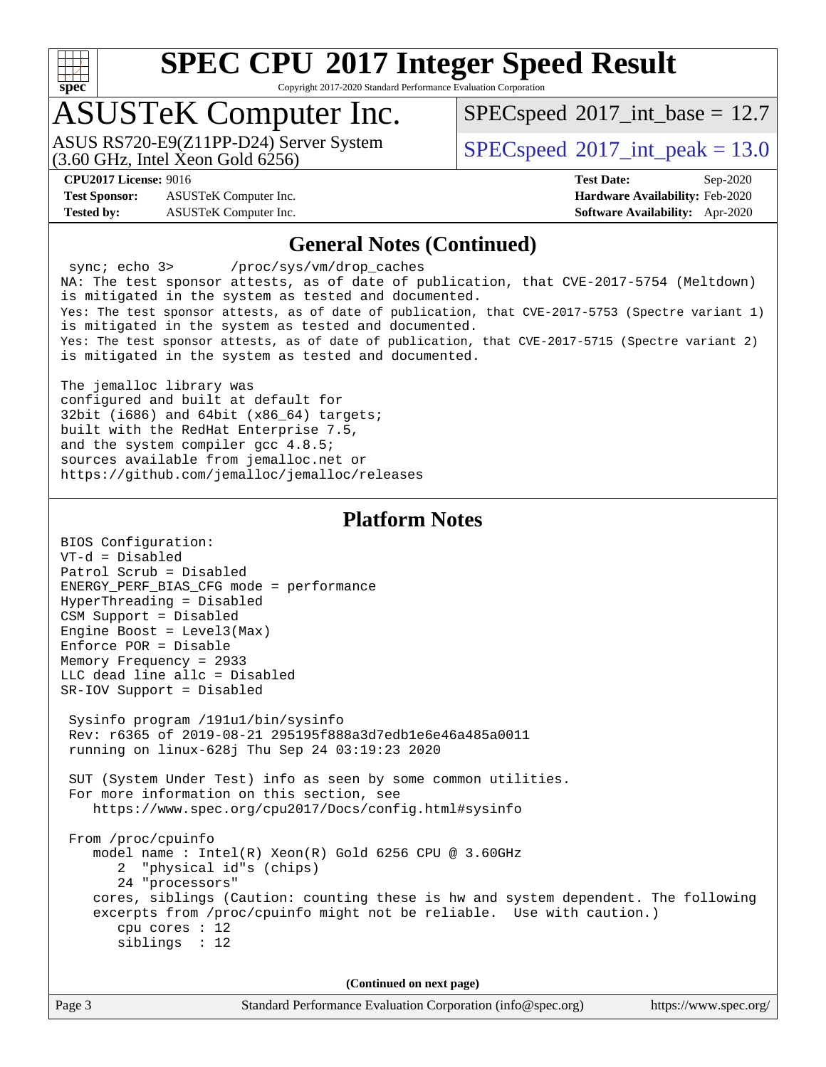

Copyright 2017-2020 Standard Performance Evaluation Corporation

### ASUSTeK Computer Inc.

(3.60 GHz, Intel Xeon Gold 6256) ASUS RS720-E9(Z11PP-D24) Server System  $SPECspeed@2017$  $SPECspeed@2017$  int\_peak = 13.0

 $SPECspeed^{\circ}2017\_int\_base = 12.7$  $SPECspeed^{\circ}2017\_int\_base = 12.7$ 

**[Test Sponsor:](http://www.spec.org/auto/cpu2017/Docs/result-fields.html#TestSponsor)** ASUSTeK Computer Inc. **[Hardware Availability:](http://www.spec.org/auto/cpu2017/Docs/result-fields.html#HardwareAvailability)** Feb-2020 **[Tested by:](http://www.spec.org/auto/cpu2017/Docs/result-fields.html#Testedby)** ASUSTeK Computer Inc. **[Software Availability:](http://www.spec.org/auto/cpu2017/Docs/result-fields.html#SoftwareAvailability)** Apr-2020

**[CPU2017 License:](http://www.spec.org/auto/cpu2017/Docs/result-fields.html#CPU2017License)** 9016 **[Test Date:](http://www.spec.org/auto/cpu2017/Docs/result-fields.html#TestDate)** Sep-2020

#### **[General Notes \(Continued\)](http://www.spec.org/auto/cpu2017/Docs/result-fields.html#GeneralNotes)**

 sync; echo 3> /proc/sys/vm/drop\_caches NA: The test sponsor attests, as of date of publication, that CVE-2017-5754 (Meltdown) is mitigated in the system as tested and documented. Yes: The test sponsor attests, as of date of publication, that CVE-2017-5753 (Spectre variant 1) is mitigated in the system as tested and documented. Yes: The test sponsor attests, as of date of publication, that CVE-2017-5715 (Spectre variant 2) is mitigated in the system as tested and documented.

The jemalloc library was configured and built at default for 32bit (i686) and 64bit (x86\_64) targets; built with the RedHat Enterprise 7.5, and the system compiler gcc 4.8.5; sources available from jemalloc.net or <https://github.com/jemalloc/jemalloc/releases>

#### **[Platform Notes](http://www.spec.org/auto/cpu2017/Docs/result-fields.html#PlatformNotes)**

| BIOS Configuration:                                                                                                                                                                              |
|--------------------------------------------------------------------------------------------------------------------------------------------------------------------------------------------------|
| $VT-d = Disabled$                                                                                                                                                                                |
| Patrol Scrub = Disabled                                                                                                                                                                          |
| ENERGY_PERF_BIAS_CFG mode = performance                                                                                                                                                          |
| HyperThreading = Disabled                                                                                                                                                                        |
| CSM Support = Disabled                                                                                                                                                                           |
| Engine Boost = $Level3(Max)$                                                                                                                                                                     |
| $Enforce POR = Disable$                                                                                                                                                                          |
| Memory Frequency = 2933                                                                                                                                                                          |
| LLC dead line allc = Disabled                                                                                                                                                                    |
| SR-IOV Support = Disabled                                                                                                                                                                        |
| Sysinfo program /191u1/bin/sysinfo<br>Rev: r6365 of 2019-08-21 295195f888a3d7edb1e6e46a485a0011<br>running on linux-628j Thu Sep 24 03:19:23 2020                                                |
| SUT (System Under Test) info as seen by some common utilities.<br>For more information on this section, see<br>https://www.spec.org/cpu2017/Docs/config.html#sysinfo                             |
| From /proc/cpuinfo<br>model name : Intel(R) $Xeon(R)$ Gold 6256 CPU @ 3.60GHz<br>2 "physical id"s (chips)<br>24 "processors"                                                                     |
| cores, siblings (Caution: counting these is hw and system dependent. The following<br>excerpts from /proc/cpuinfo might not be reliable. Use with caution.)<br>cpu cores $: 12$<br>siblings : 12 |
| (Continued on next page)                                                                                                                                                                         |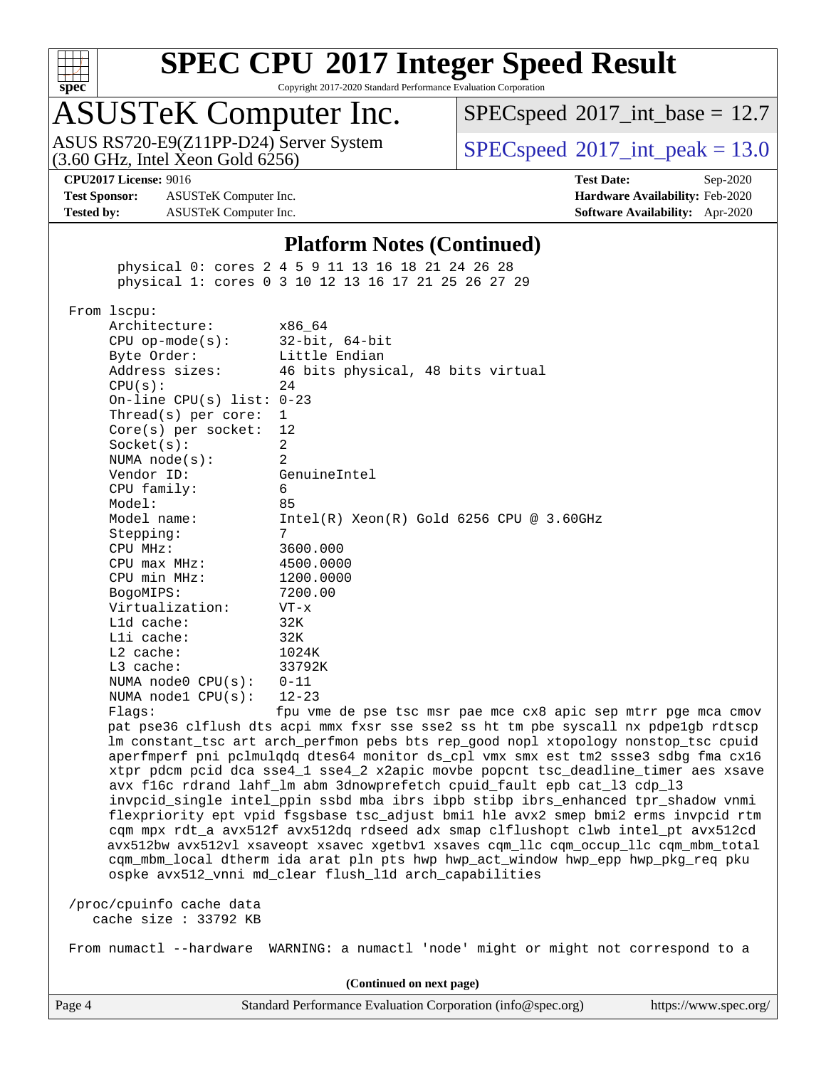

Copyright 2017-2020 Standard Performance Evaluation Corporation

# ASUSTeK Computer Inc.<br>ASUS RS720-E9(Z11PP-D24) Server System

 $(3.60$  GHz, Intel Xeon Gold  $6256$ )

 $SPECspeed^{\circ}2017\_int\_base = 12.7$  $SPECspeed^{\circ}2017\_int\_base = 12.7$ 

 $SPECspeed^{\circ}2017\_int\_peak = 13.0$  $SPECspeed^{\circ}2017\_int\_peak = 13.0$ 

**[Test Sponsor:](http://www.spec.org/auto/cpu2017/Docs/result-fields.html#TestSponsor)** ASUSTeK Computer Inc. **[Hardware Availability:](http://www.spec.org/auto/cpu2017/Docs/result-fields.html#HardwareAvailability)** Feb-2020 **[Tested by:](http://www.spec.org/auto/cpu2017/Docs/result-fields.html#Testedby)** ASUSTeK Computer Inc. **[Software Availability:](http://www.spec.org/auto/cpu2017/Docs/result-fields.html#SoftwareAvailability)** Apr-2020

**[CPU2017 License:](http://www.spec.org/auto/cpu2017/Docs/result-fields.html#CPU2017License)** 9016 **[Test Date:](http://www.spec.org/auto/cpu2017/Docs/result-fields.html#TestDate)** Sep-2020

#### **[Platform Notes \(Continued\)](http://www.spec.org/auto/cpu2017/Docs/result-fields.html#PlatformNotes)**

 physical 0: cores 2 4 5 9 11 13 16 18 21 24 26 28 physical 1: cores 0 3 10 12 13 16 17 21 25 26 27 29

From lscpu:

| Architecture:                    | x86 64                                      |
|----------------------------------|---------------------------------------------|
| $CPU op-mode(s):$ 32-bit, 64-bit |                                             |
| Byte Order:                      | Little Endian                               |
| Address sizes:                   | 46 bits physical, 48 bits virtual           |
| CPU(s):                          | 24                                          |
| On-line CPU(s) list: $0-23$      |                                             |
| Thread(s) per core: $1$          |                                             |
| Core(s) per socket: $12$         |                                             |
| Socket(s):                       | 2                                           |
| NUMA node(s):                    | $\mathfrak{D}$                              |
| Vendor ID:                       | GenuineIntel                                |
| CPU family:                      | 6                                           |
| Model:                           | 85                                          |
| Model name:                      | $Intel(R) Xeon(R) Gold 6256 CPU @ 3.60GHz$  |
| Stepping:                        | 7                                           |
| CPU MHz:                         | 3600.000                                    |
| $CPU$ $max$ $MHz$ :              | 4500.0000                                   |
| CPU min MHz:                     | 1200.0000                                   |
| BogoMIPS:                        | 7200.00                                     |
| Virtualization: VT-x             |                                             |
| $L1d$ cache:                     | 32K                                         |
| $L1i$ cache:                     | 32K                                         |
| L2 cache:                        | 1024K                                       |
| L3 cache:                        | 33792K                                      |
| NUMA node0 $CPU(s): 0-11$        |                                             |
| NUMA nodel $CPU(s): 12-23$       |                                             |
| $\Gamma$ ] $\cap$ $\cap$ $\cdot$ | fou ymo do pao taq mar pao mao are apiq aon |

Flags: fpu vme de pse tsc msr pae mce cx8 apic sep mtrr pge mca cmov pat pse36 clflush dts acpi mmx fxsr sse sse2 ss ht tm pbe syscall nx pdpe1gb rdtscp lm constant\_tsc art arch\_perfmon pebs bts rep\_good nopl xtopology nonstop\_tsc cpuid aperfmperf pni pclmulqdq dtes64 monitor ds\_cpl vmx smx est tm2 ssse3 sdbg fma cx16 xtpr pdcm pcid dca sse4\_1 sse4\_2 x2apic movbe popcnt tsc\_deadline\_timer aes xsave avx f16c rdrand lahf\_lm abm 3dnowprefetch cpuid\_fault epb cat\_l3 cdp\_l3 invpcid\_single intel\_ppin ssbd mba ibrs ibpb stibp ibrs\_enhanced tpr\_shadow vnmi flexpriority ept vpid fsgsbase tsc\_adjust bmi1 hle avx2 smep bmi2 erms invpcid rtm cqm mpx rdt\_a avx512f avx512dq rdseed adx smap clflushopt clwb intel\_pt avx512cd avx512bw avx512vl xsaveopt xsavec xgetbv1 xsaves cqm\_llc cqm\_occup\_llc cqm\_mbm\_total cqm\_mbm\_local dtherm ida arat pln pts hwp hwp\_act\_window hwp\_epp hwp\_pkg\_req pku ospke avx512\_vnni md\_clear flush\_l1d arch\_capabilities

 /proc/cpuinfo cache data cache size : 33792 KB

From numactl --hardware WARNING: a numactl 'node' might or might not correspond to a

**(Continued on next page)**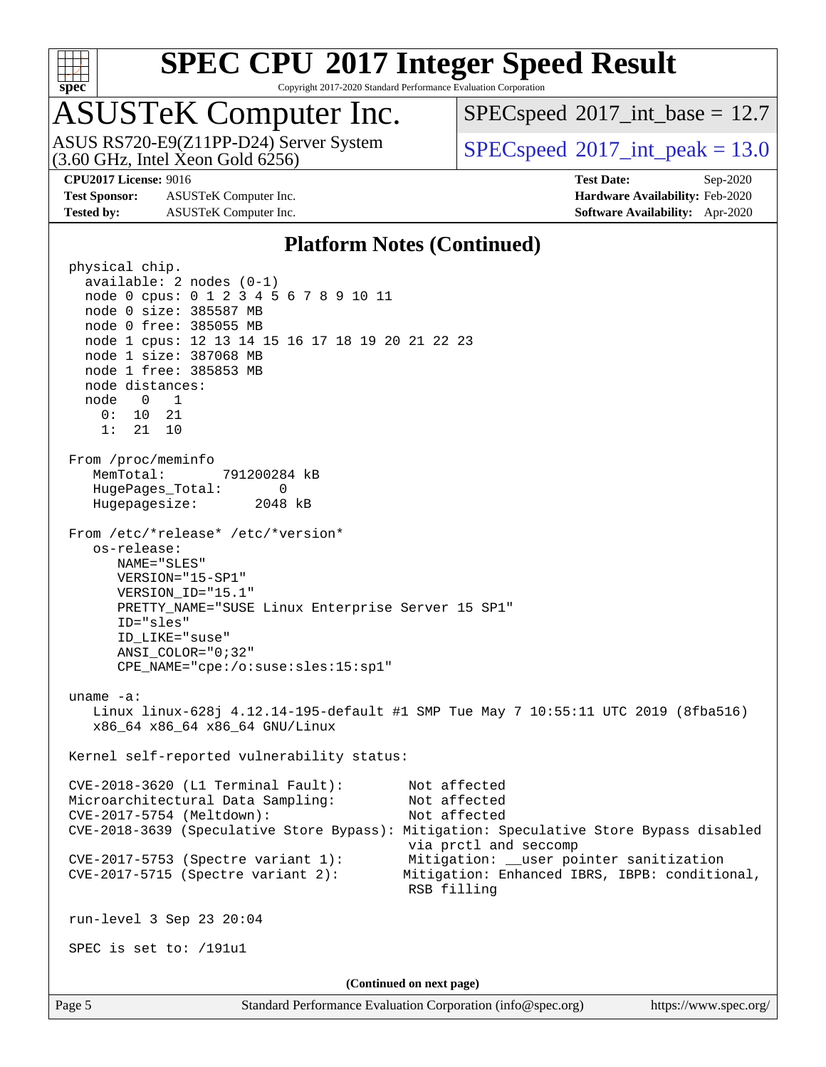

Copyright 2017-2020 Standard Performance Evaluation Corporation

### ASUSTeK Computer Inc.

ASUS RS720-E9(Z11PP-D24) Server System<br>(3.60 GHz, Intel Xeon Gold 6256)

 $SPECspeed^{\circ}2017\_int\_base = 12.7$  $SPECspeed^{\circ}2017\_int\_base = 12.7$ 

 $SPECspeed^{\circ}2017\_int\_peak = 13.0$  $SPECspeed^{\circ}2017\_int\_peak = 13.0$ 

**[Test Sponsor:](http://www.spec.org/auto/cpu2017/Docs/result-fields.html#TestSponsor)** ASUSTeK Computer Inc. **[Hardware Availability:](http://www.spec.org/auto/cpu2017/Docs/result-fields.html#HardwareAvailability)** Feb-2020 **[Tested by:](http://www.spec.org/auto/cpu2017/Docs/result-fields.html#Testedby)** ASUSTeK Computer Inc. **[Software Availability:](http://www.spec.org/auto/cpu2017/Docs/result-fields.html#SoftwareAvailability)** Apr-2020

**[CPU2017 License:](http://www.spec.org/auto/cpu2017/Docs/result-fields.html#CPU2017License)** 9016 **[Test Date:](http://www.spec.org/auto/cpu2017/Docs/result-fields.html#TestDate)** Sep-2020

#### **[Platform Notes \(Continued\)](http://www.spec.org/auto/cpu2017/Docs/result-fields.html#PlatformNotes)**

 physical chip. available: 2 nodes (0-1) node 0 cpus: 0 1 2 3 4 5 6 7 8 9 10 11 node 0 size: 385587 MB node 0 free: 385055 MB node 1 cpus: 12 13 14 15 16 17 18 19 20 21 22 23 node 1 size: 387068 MB node 1 free: 385853 MB node distances: node 0 1 0: 10 21 1: 21 10 From /proc/meminfo MemTotal: 791200284 kB HugePages\_Total: 0 Hugepagesize: 2048 kB From /etc/\*release\* /etc/\*version\* os-release: NAME="SLES" VERSION="15-SP1" VERSION\_ID="15.1" PRETTY\_NAME="SUSE Linux Enterprise Server 15 SP1" ID="sles" ID\_LIKE="suse" ANSI\_COLOR="0;32" CPE\_NAME="cpe:/o:suse:sles:15:sp1" uname -a: Linux linux-628j 4.12.14-195-default #1 SMP Tue May 7 10:55:11 UTC 2019 (8fba516) x86\_64 x86\_64 x86\_64 GNU/Linux Kernel self-reported vulnerability status: CVE-2018-3620 (L1 Terminal Fault): Not affected Microarchitectural Data Sampling: Not affected CVE-2017-5754 (Meltdown): Not affected CVE-2018-3639 (Speculative Store Bypass): Mitigation: Speculative Store Bypass disabled via prctl and seccomp CVE-2017-5753 (Spectre variant 1): Mitigation: \_\_user pointer sanitization CVE-2017-5715 (Spectre variant 2): Mitigation: Enhanced IBRS, IBPB: conditional, RSB filling run-level 3 Sep 23 20:04 SPEC is set to: /191u1 **(Continued on next page)**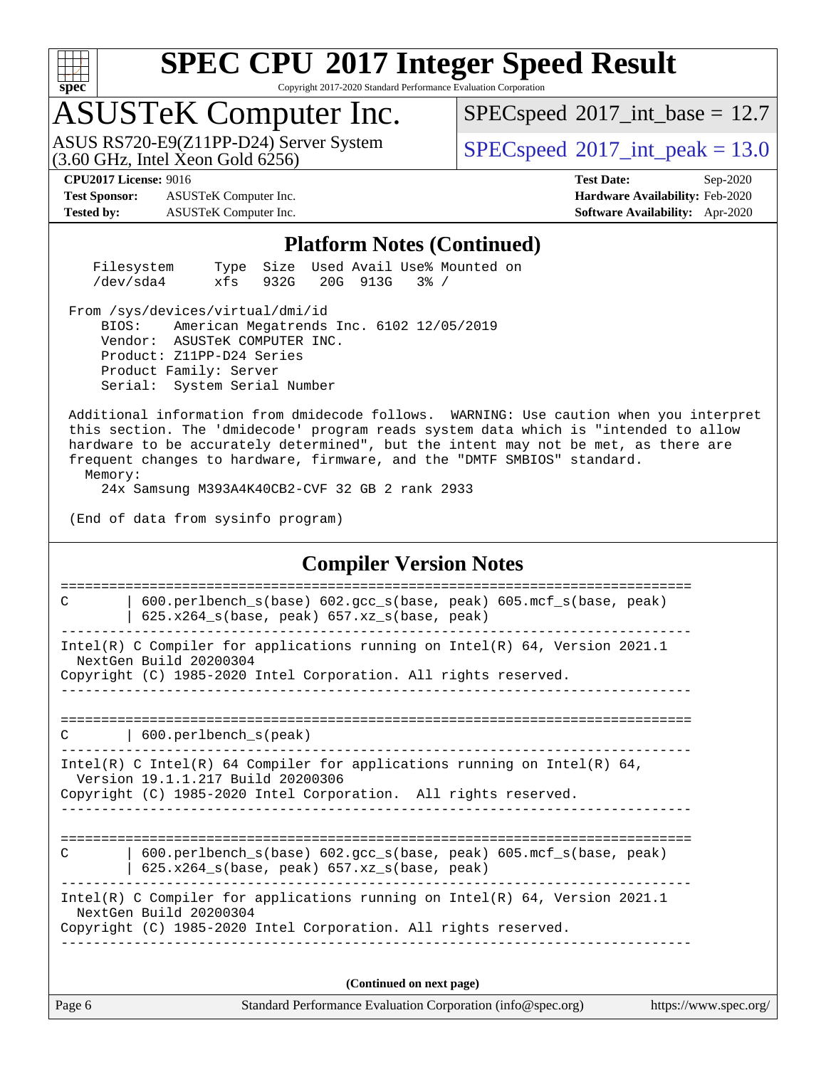

Copyright 2017-2020 Standard Performance Evaluation Corporation

### ASUSTeK Computer Inc.

 $(3.60$  GHz, Intel Xeon Gold  $6256$ ) ASUS RS720-E9(Z11PP-D24) Server System  $SPECspeed@2017$  $SPECspeed@2017$  int\_peak = 13.0

 $SPECspeed^{\circ}2017\_int\_base = 12.7$  $SPECspeed^{\circ}2017\_int\_base = 12.7$ 

**[Test Sponsor:](http://www.spec.org/auto/cpu2017/Docs/result-fields.html#TestSponsor)** ASUSTeK Computer Inc. **[Hardware Availability:](http://www.spec.org/auto/cpu2017/Docs/result-fields.html#HardwareAvailability)** Feb-2020 **[Tested by:](http://www.spec.org/auto/cpu2017/Docs/result-fields.html#Testedby)** ASUSTeK Computer Inc. **[Software Availability:](http://www.spec.org/auto/cpu2017/Docs/result-fields.html#SoftwareAvailability)** Apr-2020

**[CPU2017 License:](http://www.spec.org/auto/cpu2017/Docs/result-fields.html#CPU2017License)** 9016 **[Test Date:](http://www.spec.org/auto/cpu2017/Docs/result-fields.html#TestDate)** Sep-2020

#### **[Platform Notes \(Continued\)](http://www.spec.org/auto/cpu2017/Docs/result-fields.html#PlatformNotes)**

| Filesystem |                        |  | Type Size Used Avail Use% Mounted on |  |
|------------|------------------------|--|--------------------------------------|--|
| /dev/sda4  | xfs 932G 20G 913G 3% / |  |                                      |  |

From /sys/devices/virtual/dmi/id

 BIOS: American Megatrends Inc. 6102 12/05/2019 Vendor: ASUSTeK COMPUTER INC. Product: Z11PP-D24 Series Product Family: Server Serial: System Serial Number

 Additional information from dmidecode follows. WARNING: Use caution when you interpret this section. The 'dmidecode' program reads system data which is "intended to allow hardware to be accurately determined", but the intent may not be met, as there are frequent changes to hardware, firmware, and the "DMTF SMBIOS" standard. Memory:

24x Samsung M393A4K40CB2-CVF 32 GB 2 rank 2933

(End of data from sysinfo program)

#### **[Compiler Version Notes](http://www.spec.org/auto/cpu2017/Docs/result-fields.html#CompilerVersionNotes)**

Page 6 Standard Performance Evaluation Corporation [\(info@spec.org\)](mailto:info@spec.org) <https://www.spec.org/> ============================================================================== C | 600.perlbench\_s(base) 602.gcc\_s(base, peak) 605.mcf\_s(base, peak) | 625.x264\_s(base, peak) 657.xz\_s(base, peak) ------------------------------------------------------------------------------ Intel(R) C Compiler for applications running on Intel(R) 64, Version 2021.1 NextGen Build 20200304 Copyright (C) 1985-2020 Intel Corporation. All rights reserved. ------------------------------------------------------------------------------ ============================================================================== C | 600.perlbench\_s(peak) ------------------------------------------------------------------------------ Intel(R) C Intel(R) 64 Compiler for applications running on Intel(R) 64, Version 19.1.1.217 Build 20200306 Copyright (C) 1985-2020 Intel Corporation. All rights reserved. ------------------------------------------------------------------------------ ============================================================================== C | 600.perlbench\_s(base) 602.gcc\_s(base, peak) 605.mcf\_s(base, peak) | 625.x264\_s(base, peak) 657.xz\_s(base, peak) ------------------------------------------------------------------------------ Intel(R) C Compiler for applications running on Intel(R) 64, Version 2021.1 NextGen Build 20200304 Copyright (C) 1985-2020 Intel Corporation. All rights reserved. ------------------------------------------------------------------------------ **(Continued on next page)**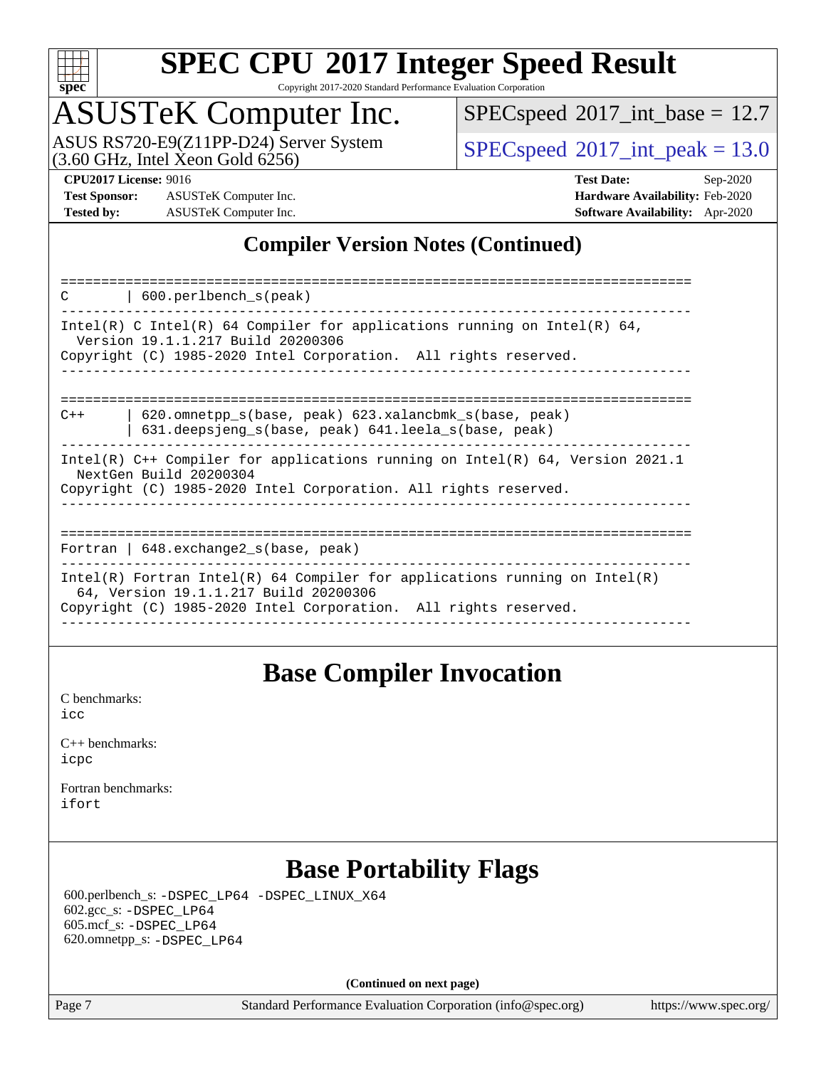

Copyright 2017-2020 Standard Performance Evaluation Corporation

# ASUSTeK Computer Inc.<br>ASUS RS720-E9(Z11PP-D24) Server System

 $(3.60$  GHz, Intel Xeon Gold  $6256$ )

 $SPECspeed^{\circledcirc}2017\_int\_base = 12.7$  $SPECspeed^{\circledcirc}2017\_int\_base = 12.7$ 

 $SPECspeed^{\circ}2017\_int\_peak = 13.0$  $SPECspeed^{\circ}2017\_int\_peak = 13.0$ 

**[Test Sponsor:](http://www.spec.org/auto/cpu2017/Docs/result-fields.html#TestSponsor)** ASUSTeK Computer Inc. **[Hardware Availability:](http://www.spec.org/auto/cpu2017/Docs/result-fields.html#HardwareAvailability)** Feb-2020 **[Tested by:](http://www.spec.org/auto/cpu2017/Docs/result-fields.html#Testedby)** ASUSTeK Computer Inc. **[Software Availability:](http://www.spec.org/auto/cpu2017/Docs/result-fields.html#SoftwareAvailability)** Apr-2020

**[CPU2017 License:](http://www.spec.org/auto/cpu2017/Docs/result-fields.html#CPU2017License)** 9016 **[Test Date:](http://www.spec.org/auto/cpu2017/Docs/result-fields.html#TestDate)** Sep-2020

#### **[Compiler Version Notes \(Continued\)](http://www.spec.org/auto/cpu2017/Docs/result-fields.html#CompilerVersionNotes)**

| 600.perlbench s(peak)<br>C                                                                                                                                                             |
|----------------------------------------------------------------------------------------------------------------------------------------------------------------------------------------|
| Intel(R) C Intel(R) 64 Compiler for applications running on Intel(R) 64,<br>Version 19.1.1.217 Build 20200306<br>Copyright (C) 1985-2020 Intel Corporation. All rights reserved.       |
| 620.omnetpp s(base, peak) 623.xalancbmk s(base, peak)<br>$C++$<br>631.deepsjeng s(base, peak) 641.leela s(base, peak)                                                                  |
| Intel(R) $C++$ Compiler for applications running on Intel(R) 64, Version 2021.1<br>NextGen Build 20200304<br>Copyright (C) 1985-2020 Intel Corporation. All rights reserved.           |
| Fortran   $648$ . exchange2 $s$ (base, peak)                                                                                                                                           |
| Intel(R) Fortran Intel(R) 64 Compiler for applications running on Intel(R)<br>64, Version 19.1.1.217 Build 20200306<br>Copyright (C) 1985-2020 Intel Corporation. All rights reserved. |

#### **[Base Compiler Invocation](http://www.spec.org/auto/cpu2017/Docs/result-fields.html#BaseCompilerInvocation)**

[C benchmarks](http://www.spec.org/auto/cpu2017/Docs/result-fields.html#Cbenchmarks): [icc](http://www.spec.org/cpu2017/results/res2020q4/cpu2017-20201023-24237.flags.html#user_CCbase_intel_icc_66fc1ee009f7361af1fbd72ca7dcefbb700085f36577c54f309893dd4ec40d12360134090235512931783d35fd58c0460139e722d5067c5574d8eaf2b3e37e92)

| $C_{++}$ benchmarks: |  |
|----------------------|--|
| icpc                 |  |

[Fortran benchmarks](http://www.spec.org/auto/cpu2017/Docs/result-fields.html#Fortranbenchmarks): [ifort](http://www.spec.org/cpu2017/results/res2020q4/cpu2017-20201023-24237.flags.html#user_FCbase_intel_ifort_8111460550e3ca792625aed983ce982f94888b8b503583aa7ba2b8303487b4d8a21a13e7191a45c5fd58ff318f48f9492884d4413fa793fd88dd292cad7027ca)

### **[Base Portability Flags](http://www.spec.org/auto/cpu2017/Docs/result-fields.html#BasePortabilityFlags)**

 600.perlbench\_s: [-DSPEC\\_LP64](http://www.spec.org/cpu2017/results/res2020q4/cpu2017-20201023-24237.flags.html#b600.perlbench_s_basePORTABILITY_DSPEC_LP64) [-DSPEC\\_LINUX\\_X64](http://www.spec.org/cpu2017/results/res2020q4/cpu2017-20201023-24237.flags.html#b600.perlbench_s_baseCPORTABILITY_DSPEC_LINUX_X64) 602.gcc\_s: [-DSPEC\\_LP64](http://www.spec.org/cpu2017/results/res2020q4/cpu2017-20201023-24237.flags.html#suite_basePORTABILITY602_gcc_s_DSPEC_LP64) 605.mcf\_s: [-DSPEC\\_LP64](http://www.spec.org/cpu2017/results/res2020q4/cpu2017-20201023-24237.flags.html#suite_basePORTABILITY605_mcf_s_DSPEC_LP64) 620.omnetpp\_s: [-DSPEC\\_LP64](http://www.spec.org/cpu2017/results/res2020q4/cpu2017-20201023-24237.flags.html#suite_basePORTABILITY620_omnetpp_s_DSPEC_LP64)

**(Continued on next page)**

Page 7 Standard Performance Evaluation Corporation [\(info@spec.org\)](mailto:info@spec.org) <https://www.spec.org/>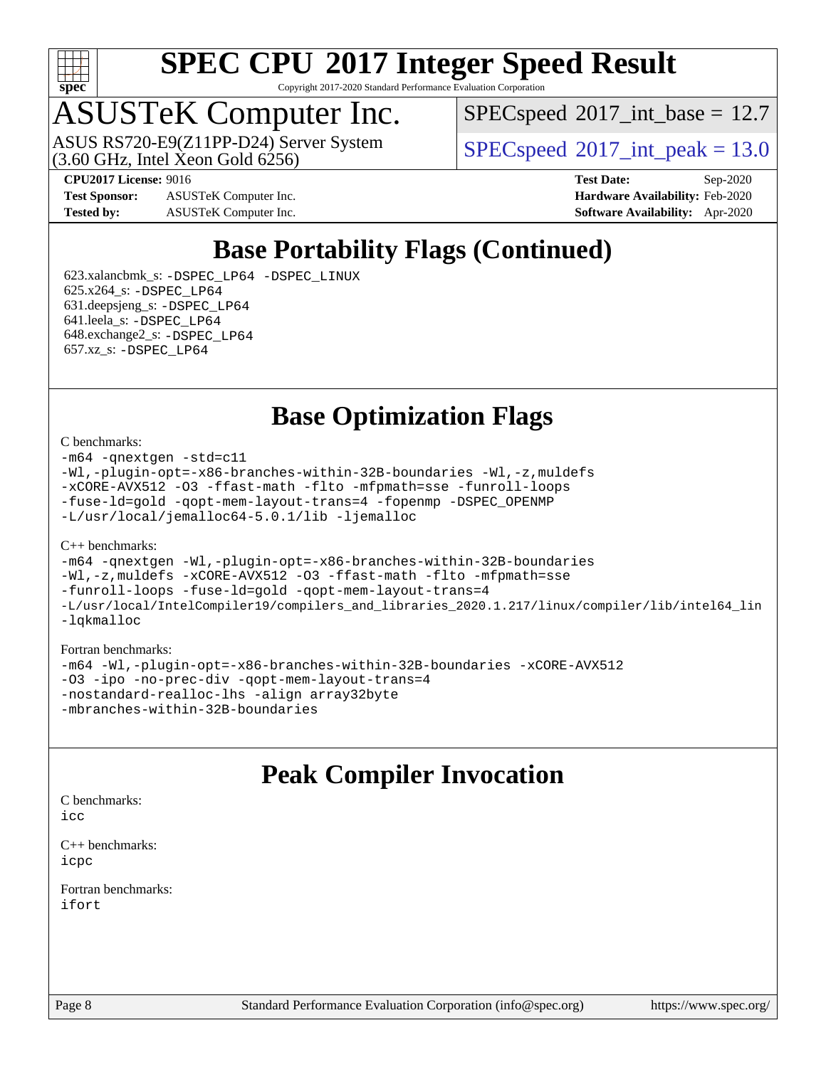

Copyright 2017-2020 Standard Performance Evaluation Corporation

### ASUSTeK Computer Inc.

 $(3.60$  GHz, Intel Xeon Gold  $6256$ ) ASUS RS720-E9(Z11PP-D24) Server System  $SPECspeed@2017$  $SPECspeed@2017$  int\_peak = 13.0

 $SPECspeed^{\circ}2017\_int\_base = 12.7$  $SPECspeed^{\circ}2017\_int\_base = 12.7$ 

**[Test Sponsor:](http://www.spec.org/auto/cpu2017/Docs/result-fields.html#TestSponsor)** ASUSTeK Computer Inc. **[Hardware Availability:](http://www.spec.org/auto/cpu2017/Docs/result-fields.html#HardwareAvailability)** Feb-2020 **[Tested by:](http://www.spec.org/auto/cpu2017/Docs/result-fields.html#Testedby)** ASUSTeK Computer Inc. **[Software Availability:](http://www.spec.org/auto/cpu2017/Docs/result-fields.html#SoftwareAvailability)** Apr-2020

**[CPU2017 License:](http://www.spec.org/auto/cpu2017/Docs/result-fields.html#CPU2017License)** 9016 **[Test Date:](http://www.spec.org/auto/cpu2017/Docs/result-fields.html#TestDate)** Sep-2020

### **[Base Portability Flags \(Continued\)](http://www.spec.org/auto/cpu2017/Docs/result-fields.html#BasePortabilityFlags)**

 623.xalancbmk\_s: [-DSPEC\\_LP64](http://www.spec.org/cpu2017/results/res2020q4/cpu2017-20201023-24237.flags.html#suite_basePORTABILITY623_xalancbmk_s_DSPEC_LP64) [-DSPEC\\_LINUX](http://www.spec.org/cpu2017/results/res2020q4/cpu2017-20201023-24237.flags.html#b623.xalancbmk_s_baseCXXPORTABILITY_DSPEC_LINUX) 625.x264\_s: [-DSPEC\\_LP64](http://www.spec.org/cpu2017/results/res2020q4/cpu2017-20201023-24237.flags.html#suite_basePORTABILITY625_x264_s_DSPEC_LP64) 631.deepsjeng\_s: [-DSPEC\\_LP64](http://www.spec.org/cpu2017/results/res2020q4/cpu2017-20201023-24237.flags.html#suite_basePORTABILITY631_deepsjeng_s_DSPEC_LP64) 641.leela\_s: [-DSPEC\\_LP64](http://www.spec.org/cpu2017/results/res2020q4/cpu2017-20201023-24237.flags.html#suite_basePORTABILITY641_leela_s_DSPEC_LP64) 648.exchange2\_s: [-DSPEC\\_LP64](http://www.spec.org/cpu2017/results/res2020q4/cpu2017-20201023-24237.flags.html#suite_basePORTABILITY648_exchange2_s_DSPEC_LP64) 657.xz\_s: [-DSPEC\\_LP64](http://www.spec.org/cpu2017/results/res2020q4/cpu2017-20201023-24237.flags.html#suite_basePORTABILITY657_xz_s_DSPEC_LP64)

**[Base Optimization Flags](http://www.spec.org/auto/cpu2017/Docs/result-fields.html#BaseOptimizationFlags)**

#### [C benchmarks](http://www.spec.org/auto/cpu2017/Docs/result-fields.html#Cbenchmarks):

[-m64](http://www.spec.org/cpu2017/results/res2020q4/cpu2017-20201023-24237.flags.html#user_CCbase_m64-icc) [-qnextgen](http://www.spec.org/cpu2017/results/res2020q4/cpu2017-20201023-24237.flags.html#user_CCbase_f-qnextgen) [-std=c11](http://www.spec.org/cpu2017/results/res2020q4/cpu2017-20201023-24237.flags.html#user_CCbase_std-icc-std_0e1c27790398a4642dfca32ffe6c27b5796f9c2d2676156f2e42c9c44eaad0c049b1cdb667a270c34d979996257aeb8fc440bfb01818dbc9357bd9d174cb8524) [-Wl,-plugin-opt=-x86-branches-within-32B-boundaries](http://www.spec.org/cpu2017/results/res2020q4/cpu2017-20201023-24237.flags.html#user_CCbase_f-x86-branches-within-32B-boundaries_0098b4e4317ae60947b7b728078a624952a08ac37a3c797dfb4ffeb399e0c61a9dd0f2f44ce917e9361fb9076ccb15e7824594512dd315205382d84209e912f3) [-Wl,-z,muldefs](http://www.spec.org/cpu2017/results/res2020q4/cpu2017-20201023-24237.flags.html#user_CCbase_link_force_multiple1_b4cbdb97b34bdee9ceefcfe54f4c8ea74255f0b02a4b23e853cdb0e18eb4525ac79b5a88067c842dd0ee6996c24547a27a4b99331201badda8798ef8a743f577) [-xCORE-AVX512](http://www.spec.org/cpu2017/results/res2020q4/cpu2017-20201023-24237.flags.html#user_CCbase_f-xCORE-AVX512) [-O3](http://www.spec.org/cpu2017/results/res2020q4/cpu2017-20201023-24237.flags.html#user_CCbase_f-O3) [-ffast-math](http://www.spec.org/cpu2017/results/res2020q4/cpu2017-20201023-24237.flags.html#user_CCbase_f-ffast-math) [-flto](http://www.spec.org/cpu2017/results/res2020q4/cpu2017-20201023-24237.flags.html#user_CCbase_f-flto) [-mfpmath=sse](http://www.spec.org/cpu2017/results/res2020q4/cpu2017-20201023-24237.flags.html#user_CCbase_f-mfpmath_70eb8fac26bde974f8ab713bc9086c5621c0b8d2f6c86f38af0bd7062540daf19db5f3a066d8c6684be05d84c9b6322eb3b5be6619d967835195b93d6c02afa1) [-funroll-loops](http://www.spec.org/cpu2017/results/res2020q4/cpu2017-20201023-24237.flags.html#user_CCbase_f-funroll-loops) [-fuse-ld=gold](http://www.spec.org/cpu2017/results/res2020q4/cpu2017-20201023-24237.flags.html#user_CCbase_f-fuse-ld_920b3586e2b8c6e0748b9c84fa9b744736ba725a32cab14ad8f3d4ad28eecb2f59d1144823d2e17006539a88734fe1fc08fc3035f7676166309105a78aaabc32) [-qopt-mem-layout-trans=4](http://www.spec.org/cpu2017/results/res2020q4/cpu2017-20201023-24237.flags.html#user_CCbase_f-qopt-mem-layout-trans_fa39e755916c150a61361b7846f310bcdf6f04e385ef281cadf3647acec3f0ae266d1a1d22d972a7087a248fd4e6ca390a3634700869573d231a252c784941a8) [-fopenmp](http://www.spec.org/cpu2017/results/res2020q4/cpu2017-20201023-24237.flags.html#user_CCbase_fopenmp_5aa2e47ce4f2ef030ba5d12d5a7a9c4e57167333d78243fcadb80b48d5abb78ff19333f8478e0b2a41e63049eb285965c145ccab7b93db7d0c4d59e4dc6f5591) [-DSPEC\\_OPENMP](http://www.spec.org/cpu2017/results/res2020q4/cpu2017-20201023-24237.flags.html#suite_CCbase_DSPEC_OPENMP) [-L/usr/local/jemalloc64-5.0.1/lib](http://www.spec.org/cpu2017/results/res2020q4/cpu2017-20201023-24237.flags.html#user_CCbase_jemalloc_link_path64_1_cc289568b1a6c0fd3b62c91b824c27fcb5af5e8098e6ad028160d21144ef1b8aef3170d2acf0bee98a8da324cfe4f67d0a3d0c4cc4673d993d694dc2a0df248b) [-ljemalloc](http://www.spec.org/cpu2017/results/res2020q4/cpu2017-20201023-24237.flags.html#user_CCbase_jemalloc_link_lib_d1249b907c500fa1c0672f44f562e3d0f79738ae9e3c4a9c376d49f265a04b9c99b167ecedbf6711b3085be911c67ff61f150a17b3472be731631ba4d0471706)

#### [C++ benchmarks:](http://www.spec.org/auto/cpu2017/Docs/result-fields.html#CXXbenchmarks)

[-m64](http://www.spec.org/cpu2017/results/res2020q4/cpu2017-20201023-24237.flags.html#user_CXXbase_m64-icc) [-qnextgen](http://www.spec.org/cpu2017/results/res2020q4/cpu2017-20201023-24237.flags.html#user_CXXbase_f-qnextgen) [-Wl,-plugin-opt=-x86-branches-within-32B-boundaries](http://www.spec.org/cpu2017/results/res2020q4/cpu2017-20201023-24237.flags.html#user_CXXbase_f-x86-branches-within-32B-boundaries_0098b4e4317ae60947b7b728078a624952a08ac37a3c797dfb4ffeb399e0c61a9dd0f2f44ce917e9361fb9076ccb15e7824594512dd315205382d84209e912f3) [-Wl,-z,muldefs](http://www.spec.org/cpu2017/results/res2020q4/cpu2017-20201023-24237.flags.html#user_CXXbase_link_force_multiple1_b4cbdb97b34bdee9ceefcfe54f4c8ea74255f0b02a4b23e853cdb0e18eb4525ac79b5a88067c842dd0ee6996c24547a27a4b99331201badda8798ef8a743f577) [-xCORE-AVX512](http://www.spec.org/cpu2017/results/res2020q4/cpu2017-20201023-24237.flags.html#user_CXXbase_f-xCORE-AVX512) [-O3](http://www.spec.org/cpu2017/results/res2020q4/cpu2017-20201023-24237.flags.html#user_CXXbase_f-O3) [-ffast-math](http://www.spec.org/cpu2017/results/res2020q4/cpu2017-20201023-24237.flags.html#user_CXXbase_f-ffast-math) [-flto](http://www.spec.org/cpu2017/results/res2020q4/cpu2017-20201023-24237.flags.html#user_CXXbase_f-flto) [-mfpmath=sse](http://www.spec.org/cpu2017/results/res2020q4/cpu2017-20201023-24237.flags.html#user_CXXbase_f-mfpmath_70eb8fac26bde974f8ab713bc9086c5621c0b8d2f6c86f38af0bd7062540daf19db5f3a066d8c6684be05d84c9b6322eb3b5be6619d967835195b93d6c02afa1) [-funroll-loops](http://www.spec.org/cpu2017/results/res2020q4/cpu2017-20201023-24237.flags.html#user_CXXbase_f-funroll-loops) [-fuse-ld=gold](http://www.spec.org/cpu2017/results/res2020q4/cpu2017-20201023-24237.flags.html#user_CXXbase_f-fuse-ld_920b3586e2b8c6e0748b9c84fa9b744736ba725a32cab14ad8f3d4ad28eecb2f59d1144823d2e17006539a88734fe1fc08fc3035f7676166309105a78aaabc32) [-qopt-mem-layout-trans=4](http://www.spec.org/cpu2017/results/res2020q4/cpu2017-20201023-24237.flags.html#user_CXXbase_f-qopt-mem-layout-trans_fa39e755916c150a61361b7846f310bcdf6f04e385ef281cadf3647acec3f0ae266d1a1d22d972a7087a248fd4e6ca390a3634700869573d231a252c784941a8) [-L/usr/local/IntelCompiler19/compilers\\_and\\_libraries\\_2020.1.217/linux/compiler/lib/intel64\\_lin](http://www.spec.org/cpu2017/results/res2020q4/cpu2017-20201023-24237.flags.html#user_CXXbase_linkpath_2cb6f503891ebf8baee7515f4e7d4ec1217444d1d05903cc0091ac4158de400651d2b2313a9fa414cb8a8f0e16ab029634f5c6db340f400369c190d4db8a54a0) [-lqkmalloc](http://www.spec.org/cpu2017/results/res2020q4/cpu2017-20201023-24237.flags.html#user_CXXbase_qkmalloc_link_lib_79a818439969f771c6bc311cfd333c00fc099dad35c030f5aab9dda831713d2015205805422f83de8875488a2991c0a156aaa600e1f9138f8fc37004abc96dc5)

#### [Fortran benchmarks:](http://www.spec.org/auto/cpu2017/Docs/result-fields.html#Fortranbenchmarks)

[-m64](http://www.spec.org/cpu2017/results/res2020q4/cpu2017-20201023-24237.flags.html#user_FCbase_m64-icc) [-Wl,-plugin-opt=-x86-branches-within-32B-boundaries](http://www.spec.org/cpu2017/results/res2020q4/cpu2017-20201023-24237.flags.html#user_FCbase_f-x86-branches-within-32B-boundaries_0098b4e4317ae60947b7b728078a624952a08ac37a3c797dfb4ffeb399e0c61a9dd0f2f44ce917e9361fb9076ccb15e7824594512dd315205382d84209e912f3) [-xCORE-AVX512](http://www.spec.org/cpu2017/results/res2020q4/cpu2017-20201023-24237.flags.html#user_FCbase_f-xCORE-AVX512) [-O3](http://www.spec.org/cpu2017/results/res2020q4/cpu2017-20201023-24237.flags.html#user_FCbase_f-O3) [-ipo](http://www.spec.org/cpu2017/results/res2020q4/cpu2017-20201023-24237.flags.html#user_FCbase_f-ipo) [-no-prec-div](http://www.spec.org/cpu2017/results/res2020q4/cpu2017-20201023-24237.flags.html#user_FCbase_f-no-prec-div) [-qopt-mem-layout-trans=4](http://www.spec.org/cpu2017/results/res2020q4/cpu2017-20201023-24237.flags.html#user_FCbase_f-qopt-mem-layout-trans_fa39e755916c150a61361b7846f310bcdf6f04e385ef281cadf3647acec3f0ae266d1a1d22d972a7087a248fd4e6ca390a3634700869573d231a252c784941a8) [-nostandard-realloc-lhs](http://www.spec.org/cpu2017/results/res2020q4/cpu2017-20201023-24237.flags.html#user_FCbase_f_2003_std_realloc_82b4557e90729c0f113870c07e44d33d6f5a304b4f63d4c15d2d0f1fab99f5daaed73bdb9275d9ae411527f28b936061aa8b9c8f2d63842963b95c9dd6426b8a) [-align array32byte](http://www.spec.org/cpu2017/results/res2020q4/cpu2017-20201023-24237.flags.html#user_FCbase_align_array32byte_b982fe038af199962ba9a80c053b8342c548c85b40b8e86eb3cc33dee0d7986a4af373ac2d51c3f7cf710a18d62fdce2948f201cd044323541f22fc0fffc51b6) [-mbranches-within-32B-boundaries](http://www.spec.org/cpu2017/results/res2020q4/cpu2017-20201023-24237.flags.html#user_FCbase_f-mbranches-within-32B-boundaries)

#### **[Peak Compiler Invocation](http://www.spec.org/auto/cpu2017/Docs/result-fields.html#PeakCompilerInvocation)**

[C benchmarks](http://www.spec.org/auto/cpu2017/Docs/result-fields.html#Cbenchmarks):  $i$ cc

[C++ benchmarks:](http://www.spec.org/auto/cpu2017/Docs/result-fields.html#CXXbenchmarks) [icpc](http://www.spec.org/cpu2017/results/res2020q4/cpu2017-20201023-24237.flags.html#user_CXXpeak_intel_icpc_c510b6838c7f56d33e37e94d029a35b4a7bccf4766a728ee175e80a419847e808290a9b78be685c44ab727ea267ec2f070ec5dc83b407c0218cded6866a35d07)

[Fortran benchmarks](http://www.spec.org/auto/cpu2017/Docs/result-fields.html#Fortranbenchmarks): [ifort](http://www.spec.org/cpu2017/results/res2020q4/cpu2017-20201023-24237.flags.html#user_FCpeak_intel_ifort_8111460550e3ca792625aed983ce982f94888b8b503583aa7ba2b8303487b4d8a21a13e7191a45c5fd58ff318f48f9492884d4413fa793fd88dd292cad7027ca)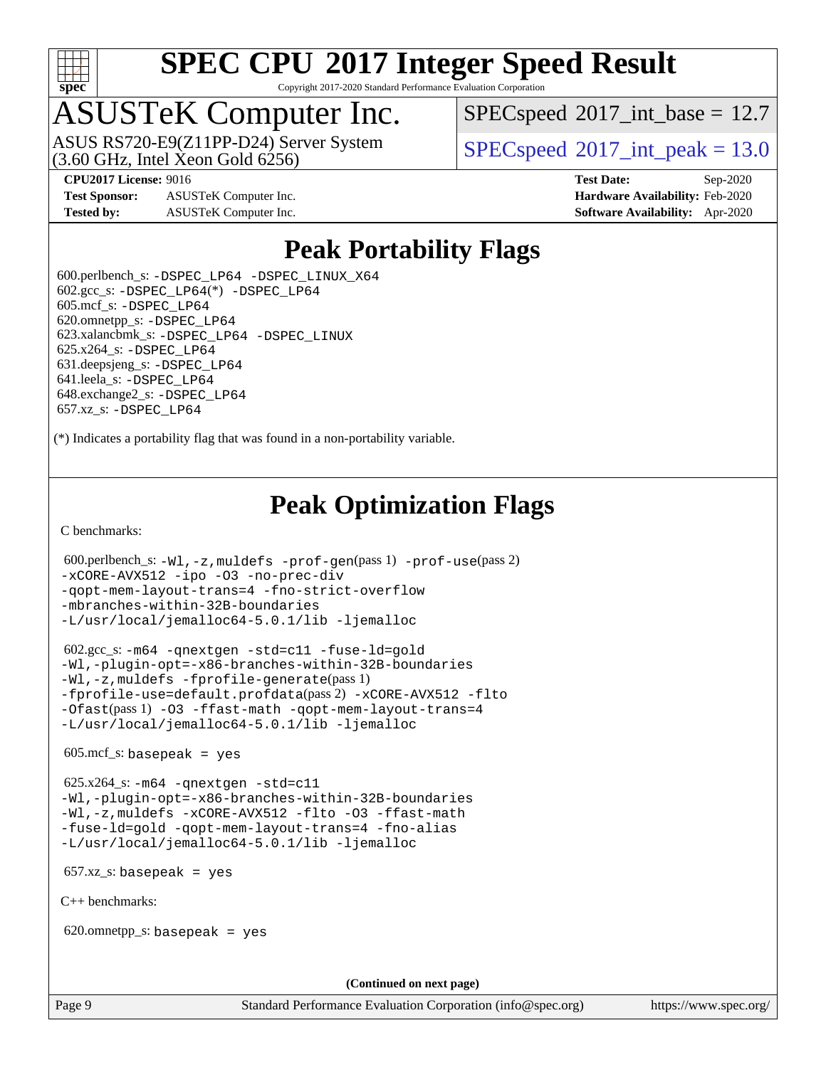

Copyright 2017-2020 Standard Performance Evaluation Corporation

### ASUSTeK Computer Inc.

ASUS RS720-E9(Z11PP-D24) Server System<br>(3.60 GHz, Intel Xeon Gold 6256)

 $SPECspeed^{\circ}2017\_int\_base = 12.7$  $SPECspeed^{\circ}2017\_int\_base = 12.7$ 

 $SPECspeed^{\circ}2017\_int\_peak = 13.0$  $SPECspeed^{\circ}2017\_int\_peak = 13.0$ 

**[Test Sponsor:](http://www.spec.org/auto/cpu2017/Docs/result-fields.html#TestSponsor)** ASUSTeK Computer Inc. **[Hardware Availability:](http://www.spec.org/auto/cpu2017/Docs/result-fields.html#HardwareAvailability)** Feb-2020 **[Tested by:](http://www.spec.org/auto/cpu2017/Docs/result-fields.html#Testedby)** ASUSTeK Computer Inc. **[Software Availability:](http://www.spec.org/auto/cpu2017/Docs/result-fields.html#SoftwareAvailability)** Apr-2020

**[CPU2017 License:](http://www.spec.org/auto/cpu2017/Docs/result-fields.html#CPU2017License)** 9016 **[Test Date:](http://www.spec.org/auto/cpu2017/Docs/result-fields.html#TestDate)** Sep-2020

#### **[Peak Portability Flags](http://www.spec.org/auto/cpu2017/Docs/result-fields.html#PeakPortabilityFlags)**

 600.perlbench\_s: [-DSPEC\\_LP64](http://www.spec.org/cpu2017/results/res2020q4/cpu2017-20201023-24237.flags.html#b600.perlbench_s_peakPORTABILITY_DSPEC_LP64) [-DSPEC\\_LINUX\\_X64](http://www.spec.org/cpu2017/results/res2020q4/cpu2017-20201023-24237.flags.html#b600.perlbench_s_peakCPORTABILITY_DSPEC_LINUX_X64)  $602.\text{gcc}\_\text{s}: -\text{DSPEC}\_\text{LP64}(*) -\text{DSPEC}\_\text{LP64}$  605.mcf\_s: [-DSPEC\\_LP64](http://www.spec.org/cpu2017/results/res2020q4/cpu2017-20201023-24237.flags.html#suite_peakPORTABILITY605_mcf_s_DSPEC_LP64) 620.omnetpp\_s: [-DSPEC\\_LP64](http://www.spec.org/cpu2017/results/res2020q4/cpu2017-20201023-24237.flags.html#suite_peakPORTABILITY620_omnetpp_s_DSPEC_LP64) 623.xalancbmk\_s: [-DSPEC\\_LP64](http://www.spec.org/cpu2017/results/res2020q4/cpu2017-20201023-24237.flags.html#suite_peakPORTABILITY623_xalancbmk_s_DSPEC_LP64) [-DSPEC\\_LINUX](http://www.spec.org/cpu2017/results/res2020q4/cpu2017-20201023-24237.flags.html#b623.xalancbmk_s_peakCXXPORTABILITY_DSPEC_LINUX) 625.x264\_s: [-DSPEC\\_LP64](http://www.spec.org/cpu2017/results/res2020q4/cpu2017-20201023-24237.flags.html#suite_peakPORTABILITY625_x264_s_DSPEC_LP64) 631.deepsjeng\_s: [-DSPEC\\_LP64](http://www.spec.org/cpu2017/results/res2020q4/cpu2017-20201023-24237.flags.html#suite_peakPORTABILITY631_deepsjeng_s_DSPEC_LP64) 641.leela\_s: [-DSPEC\\_LP64](http://www.spec.org/cpu2017/results/res2020q4/cpu2017-20201023-24237.flags.html#suite_peakPORTABILITY641_leela_s_DSPEC_LP64) 648.exchange2\_s: [-DSPEC\\_LP64](http://www.spec.org/cpu2017/results/res2020q4/cpu2017-20201023-24237.flags.html#suite_peakPORTABILITY648_exchange2_s_DSPEC_LP64) 657.xz\_s: [-DSPEC\\_LP64](http://www.spec.org/cpu2017/results/res2020q4/cpu2017-20201023-24237.flags.html#suite_peakPORTABILITY657_xz_s_DSPEC_LP64)

(\*) Indicates a portability flag that was found in a non-portability variable.

### **[Peak Optimization Flags](http://www.spec.org/auto/cpu2017/Docs/result-fields.html#PeakOptimizationFlags)**

[C benchmarks](http://www.spec.org/auto/cpu2017/Docs/result-fields.html#Cbenchmarks):

```
 600.perlbench_s: -Wl,-z,muldefs -prof-gen(pass 1) -prof-use(pass 2)
-xCORE-AVX512 -ipo -O3 -no-prec-div
-qopt-mem-layout-trans=4 -fno-strict-overflow
-mbranches-within-32B-boundaries
-L/usr/local/jemalloc64-5.0.1/lib -ljemalloc
```
 602.gcc\_s: [-m64](http://www.spec.org/cpu2017/results/res2020q4/cpu2017-20201023-24237.flags.html#user_peakCCLD602_gcc_s_m64-icc) [-qnextgen](http://www.spec.org/cpu2017/results/res2020q4/cpu2017-20201023-24237.flags.html#user_peakCCLD602_gcc_s_f-qnextgen) [-std=c11](http://www.spec.org/cpu2017/results/res2020q4/cpu2017-20201023-24237.flags.html#user_peakCCLD602_gcc_s_std-icc-std_0e1c27790398a4642dfca32ffe6c27b5796f9c2d2676156f2e42c9c44eaad0c049b1cdb667a270c34d979996257aeb8fc440bfb01818dbc9357bd9d174cb8524) [-fuse-ld=gold](http://www.spec.org/cpu2017/results/res2020q4/cpu2017-20201023-24237.flags.html#user_peakCCLD602_gcc_s_f-fuse-ld_920b3586e2b8c6e0748b9c84fa9b744736ba725a32cab14ad8f3d4ad28eecb2f59d1144823d2e17006539a88734fe1fc08fc3035f7676166309105a78aaabc32) [-Wl,-plugin-opt=-x86-branches-within-32B-boundaries](http://www.spec.org/cpu2017/results/res2020q4/cpu2017-20201023-24237.flags.html#user_peakLDFLAGS602_gcc_s_f-x86-branches-within-32B-boundaries_0098b4e4317ae60947b7b728078a624952a08ac37a3c797dfb4ffeb399e0c61a9dd0f2f44ce917e9361fb9076ccb15e7824594512dd315205382d84209e912f3) [-Wl,-z,muldefs](http://www.spec.org/cpu2017/results/res2020q4/cpu2017-20201023-24237.flags.html#user_peakEXTRA_LDFLAGS602_gcc_s_link_force_multiple1_b4cbdb97b34bdee9ceefcfe54f4c8ea74255f0b02a4b23e853cdb0e18eb4525ac79b5a88067c842dd0ee6996c24547a27a4b99331201badda8798ef8a743f577) [-fprofile-generate](http://www.spec.org/cpu2017/results/res2020q4/cpu2017-20201023-24237.flags.html#user_peakPASS1_CFLAGSPASS1_LDFLAGS602_gcc_s_fprofile-generate)(pass 1) [-fprofile-use=default.profdata](http://www.spec.org/cpu2017/results/res2020q4/cpu2017-20201023-24237.flags.html#user_peakPASS2_CFLAGSPASS2_LDFLAGS602_gcc_s_fprofile-use_56aeee182b92ec249f9670f17c9b8e7d83fe2d25538e35a2cf64c434b579a2235a8b8fc66ef5678d24461366bbab9d486c870d8a72905233fc08e43eefe3cd80)(pass 2) [-xCORE-AVX512](http://www.spec.org/cpu2017/results/res2020q4/cpu2017-20201023-24237.flags.html#user_peakCOPTIMIZEPASS1_CFLAGSPASS1_LDFLAGS602_gcc_s_f-xCORE-AVX512) [-flto](http://www.spec.org/cpu2017/results/res2020q4/cpu2017-20201023-24237.flags.html#user_peakCOPTIMIZEPASS1_CFLAGSPASS1_LDFLAGS602_gcc_s_f-flto) [-Ofast](http://www.spec.org/cpu2017/results/res2020q4/cpu2017-20201023-24237.flags.html#user_peakPASS1_CFLAGSPASS1_LDFLAGS602_gcc_s_f-Ofast)(pass 1) [-O3](http://www.spec.org/cpu2017/results/res2020q4/cpu2017-20201023-24237.flags.html#user_peakCOPTIMIZE602_gcc_s_f-O3) [-ffast-math](http://www.spec.org/cpu2017/results/res2020q4/cpu2017-20201023-24237.flags.html#user_peakCOPTIMIZE602_gcc_s_f-ffast-math) [-qopt-mem-layout-trans=4](http://www.spec.org/cpu2017/results/res2020q4/cpu2017-20201023-24237.flags.html#user_peakCOPTIMIZE602_gcc_s_f-qopt-mem-layout-trans_fa39e755916c150a61361b7846f310bcdf6f04e385ef281cadf3647acec3f0ae266d1a1d22d972a7087a248fd4e6ca390a3634700869573d231a252c784941a8) [-L/usr/local/jemalloc64-5.0.1/lib](http://www.spec.org/cpu2017/results/res2020q4/cpu2017-20201023-24237.flags.html#user_peakEXTRA_LIBS602_gcc_s_jemalloc_link_path64_1_cc289568b1a6c0fd3b62c91b824c27fcb5af5e8098e6ad028160d21144ef1b8aef3170d2acf0bee98a8da324cfe4f67d0a3d0c4cc4673d993d694dc2a0df248b) [-ljemalloc](http://www.spec.org/cpu2017/results/res2020q4/cpu2017-20201023-24237.flags.html#user_peakEXTRA_LIBS602_gcc_s_jemalloc_link_lib_d1249b907c500fa1c0672f44f562e3d0f79738ae9e3c4a9c376d49f265a04b9c99b167ecedbf6711b3085be911c67ff61f150a17b3472be731631ba4d0471706)

 $605 \text{.mcf}\text{.s.}$  basepeak = yes

 625.x264\_s: [-m64](http://www.spec.org/cpu2017/results/res2020q4/cpu2017-20201023-24237.flags.html#user_peakCCLD625_x264_s_m64-icc) [-qnextgen](http://www.spec.org/cpu2017/results/res2020q4/cpu2017-20201023-24237.flags.html#user_peakCCLD625_x264_s_f-qnextgen) [-std=c11](http://www.spec.org/cpu2017/results/res2020q4/cpu2017-20201023-24237.flags.html#user_peakCCLD625_x264_s_std-icc-std_0e1c27790398a4642dfca32ffe6c27b5796f9c2d2676156f2e42c9c44eaad0c049b1cdb667a270c34d979996257aeb8fc440bfb01818dbc9357bd9d174cb8524) [-Wl,-plugin-opt=-x86-branches-within-32B-boundaries](http://www.spec.org/cpu2017/results/res2020q4/cpu2017-20201023-24237.flags.html#user_peakLDFLAGS625_x264_s_f-x86-branches-within-32B-boundaries_0098b4e4317ae60947b7b728078a624952a08ac37a3c797dfb4ffeb399e0c61a9dd0f2f44ce917e9361fb9076ccb15e7824594512dd315205382d84209e912f3) [-Wl,-z,muldefs](http://www.spec.org/cpu2017/results/res2020q4/cpu2017-20201023-24237.flags.html#user_peakEXTRA_LDFLAGS625_x264_s_link_force_multiple1_b4cbdb97b34bdee9ceefcfe54f4c8ea74255f0b02a4b23e853cdb0e18eb4525ac79b5a88067c842dd0ee6996c24547a27a4b99331201badda8798ef8a743f577) [-xCORE-AVX512](http://www.spec.org/cpu2017/results/res2020q4/cpu2017-20201023-24237.flags.html#user_peakCOPTIMIZE625_x264_s_f-xCORE-AVX512) [-flto](http://www.spec.org/cpu2017/results/res2020q4/cpu2017-20201023-24237.flags.html#user_peakCOPTIMIZE625_x264_s_f-flto) [-O3](http://www.spec.org/cpu2017/results/res2020q4/cpu2017-20201023-24237.flags.html#user_peakCOPTIMIZE625_x264_s_f-O3) [-ffast-math](http://www.spec.org/cpu2017/results/res2020q4/cpu2017-20201023-24237.flags.html#user_peakCOPTIMIZE625_x264_s_f-ffast-math) [-fuse-ld=gold](http://www.spec.org/cpu2017/results/res2020q4/cpu2017-20201023-24237.flags.html#user_peakCOPTIMIZE625_x264_s_f-fuse-ld_920b3586e2b8c6e0748b9c84fa9b744736ba725a32cab14ad8f3d4ad28eecb2f59d1144823d2e17006539a88734fe1fc08fc3035f7676166309105a78aaabc32) [-qopt-mem-layout-trans=4](http://www.spec.org/cpu2017/results/res2020q4/cpu2017-20201023-24237.flags.html#user_peakCOPTIMIZE625_x264_s_f-qopt-mem-layout-trans_fa39e755916c150a61361b7846f310bcdf6f04e385ef281cadf3647acec3f0ae266d1a1d22d972a7087a248fd4e6ca390a3634700869573d231a252c784941a8) [-fno-alias](http://www.spec.org/cpu2017/results/res2020q4/cpu2017-20201023-24237.flags.html#user_peakEXTRA_OPTIMIZE625_x264_s_f-no-alias_77dbac10d91cbfe898fbf4a29d1b29b694089caa623bdd1baccc9957d4edbe8d106c0b357e2748a65b44fc9e83d78098bb898077f3fe92f9faf24f7bd4a07ed7) [-L/usr/local/jemalloc64-5.0.1/lib](http://www.spec.org/cpu2017/results/res2020q4/cpu2017-20201023-24237.flags.html#user_peakEXTRA_LIBS625_x264_s_jemalloc_link_path64_1_cc289568b1a6c0fd3b62c91b824c27fcb5af5e8098e6ad028160d21144ef1b8aef3170d2acf0bee98a8da324cfe4f67d0a3d0c4cc4673d993d694dc2a0df248b) [-ljemalloc](http://www.spec.org/cpu2017/results/res2020q4/cpu2017-20201023-24237.flags.html#user_peakEXTRA_LIBS625_x264_s_jemalloc_link_lib_d1249b907c500fa1c0672f44f562e3d0f79738ae9e3c4a9c376d49f265a04b9c99b167ecedbf6711b3085be911c67ff61f150a17b3472be731631ba4d0471706)

657.xz\_s: basepeak = yes

[C++ benchmarks:](http://www.spec.org/auto/cpu2017/Docs/result-fields.html#CXXbenchmarks)

620.omnetpp\_s: basepeak = yes

**(Continued on next page)**